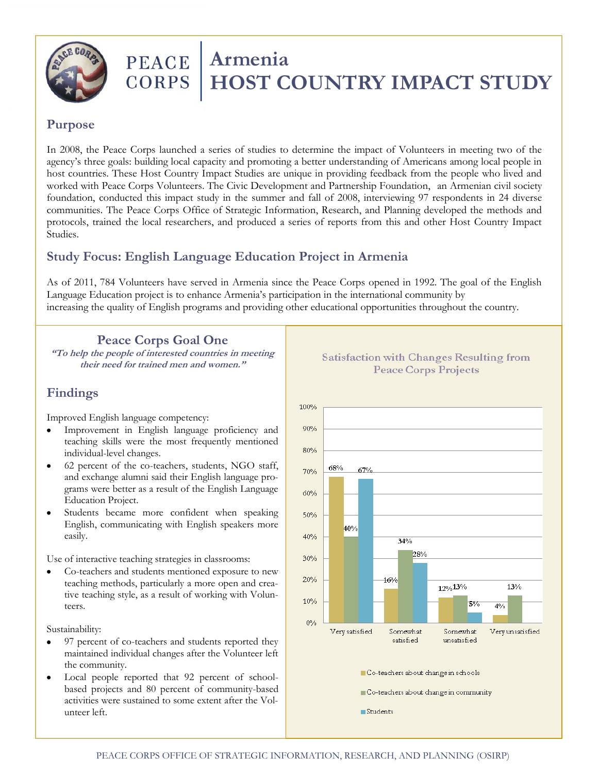

# **PEACE** | Armenia **CORPS | HOST COUNTRY IMPACT STUDY**

# **Purpose**

In 2008, the Peace Corps launched a series of studies to determine the impact of Volunteers in meeting two of the agency's three goals: building local capacity and promoting a better understanding of Americans among local people in host countries. These Host Country Impact Studies are unique in providing feedback from the people who lived and worked with Peace Corps Volunteers. The Civic Development and Partnership Foundation, an Armenian civil society foundation, conducted this impact study in the summer and fall of 2008, interviewing 97 respondents in 24 diverse communities. The Peace Corps Office of Strategic Information, Research, and Planning developed the methods and protocols, trained the local researchers, and produced a series of reports from this and other Host Country Impact Studies.

# **Study Focus: English Language Education Project in Armenia**

As of 2011, 784 Volunteers have served in Armenia since the Peace Corps opened in 1992. The goal of the English Language Education project is to enhance Armenia's participation in the international community by increasing the quality of English programs and providing other educational opportunities throughout the country.

#### **Peace Corps Goal One**

**"To help the people of interested countries in meeting their need for trained men and women."**

# **Findings**

Improved English language competency:

- Improvement in English language proficiency and teaching skills were the most frequently mentioned individual-level changes.
- 62 percent of the co-teachers, students, NGO staff, and exchange alumni said their English language programs were better as a result of the English Language Education Project.
- Students became more confident when speaking English, communicating with English speakers more easily.

Use of interactive teaching strategies in classrooms:

Co-teachers and students mentioned exposure to new teaching methods, particularly a more open and creative teaching style, as a result of working with Volunteers.

Sustainability:

- 97 percent of co-teachers and students reported they maintained individual changes after the Volunteer left the community.
- Local people reported that 92 percent of schoolbased projects and 80 percent of community-based activities were sustained to some extent after the Volunteer left.



#### **Satisfaction with Changes Resulting from Peace Corps Projects**

Co-teachers about change in schools

Co-teachers about change in community

Students